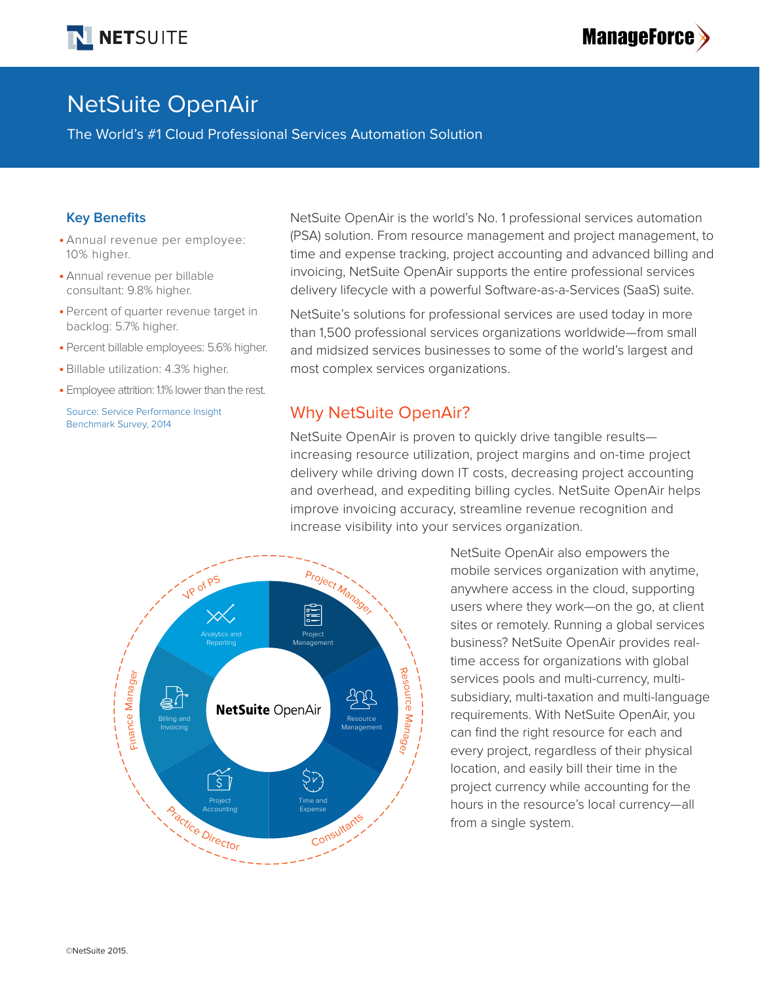



# NetSuite OpenAir

The World's #1 Cloud Professional Services Automation Solution

### **Key Benefits**

- **•** Annual revenue per employee: 10% higher.
- **•** Annual revenue per billable consultant: 9.8% higher.
- **•** Percent of quarter revenue target in backlog: 5.7% higher.
- **•** Percent billable employees: 5.6% higher.
- **•** Billable utilization: 4.3% higher.
- **•** Employee attrition: 1.1% lower than the rest.

Source: Service Performance Insight Benchmark Survey, 2014

NetSuite OpenAir is the world's No. 1 professional services automation (PSA) solution. From resource management and project management, to time and expense tracking, project accounting and advanced billing and invoicing, NetSuite OpenAir supports the entire professional services delivery lifecycle with a powerful Software-as-a-Services (SaaS) suite.

NetSuite's solutions for professional services are used today in more than 1,500 professional services organizations worldwide—from small and midsized services businesses to some of the world's largest and most complex services organizations.

## Why NetSuite OpenAir?

NetSuite OpenAir is proven to quickly drive tangible results increasing resource utilization, project margins and on-time project delivery while driving down IT costs, decreasing project accounting and overhead, and expediting billing cycles. NetSuite OpenAir helps improve invoicing accuracy, streamline revenue recognition and increase visibility into your services organization.



NetSuite OpenAir also empowers the mobile services organization with anytime, anywhere access in the cloud, supporting users where they work—on the go, at client sites or remotely. Running a global services business? NetSuite OpenAir provides realtime access for organizations with global services pools and multi-currency, multisubsidiary, multi-taxation and multi-language requirements. With NetSuite OpenAir, you can find the right resource for each and every project, regardless of their physical location, and easily bill their time in the project currency while accounting for the hours in the resource's local currency—all from a single system.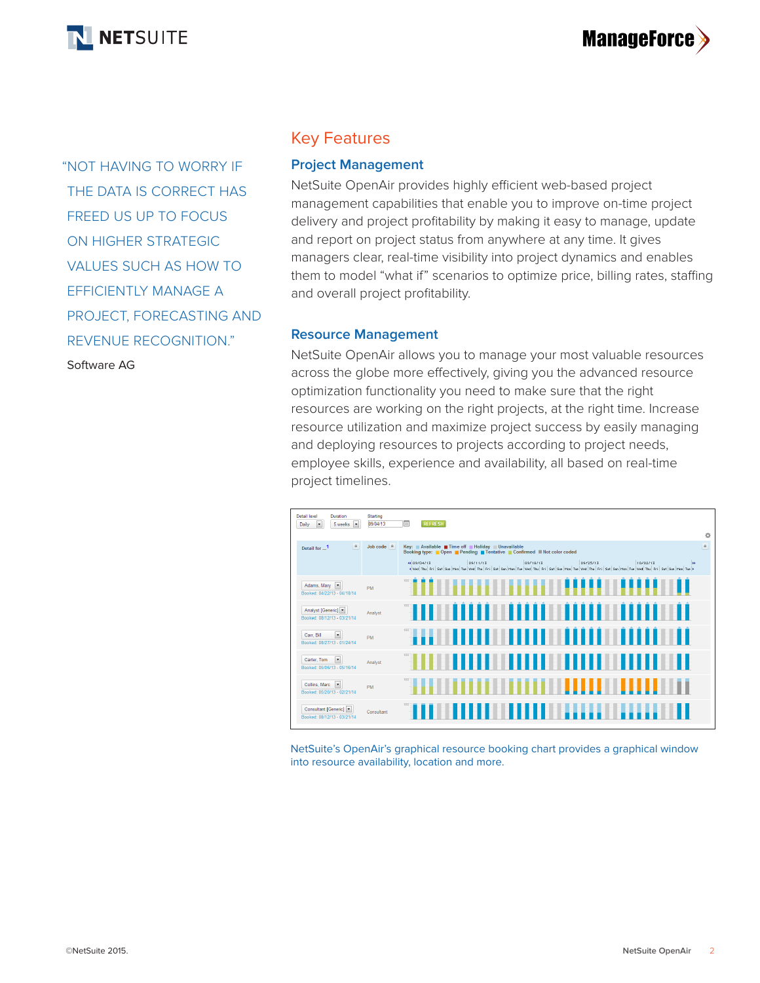

"NOT HAVING TO WORRY IF THE DATA IS CORRECT HAS FREED US UP TO FOCUS ON HIGHER STRATEGIC VALUES SUCH AS HOW TO EFFICIENTLY MANAGE A PROJECT, FORECASTING AND REVENUE RECOGNITION." Software AG

# Key Features

### **Project Management**

NetSuite OpenAir provides highly efficient web-based project management capabilities that enable you to improve on-time project delivery and project profitability by making it easy to manage, update and report on project status from anywhere at any time. It gives managers clear, real-time visibility into project dynamics and enables them to model "what if" scenarios to optimize price, billing rates, staffing and overall project profitability.

### **Resource Management**

NetSuite OpenAir allows you to manage your most valuable resources across the globe more effectively, giving you the advanced resource optimization functionality you need to make sure that the right resources are working on the right projects, at the right time. Increase resource utilization and maximize project success by easily managing and deploying resources to projects according to project needs, employee skills, experience and availability, all based on real-time project timelines.



NetSuite's OpenAir's graphical resource booking chart provides a graphical window into resource availability, location and more.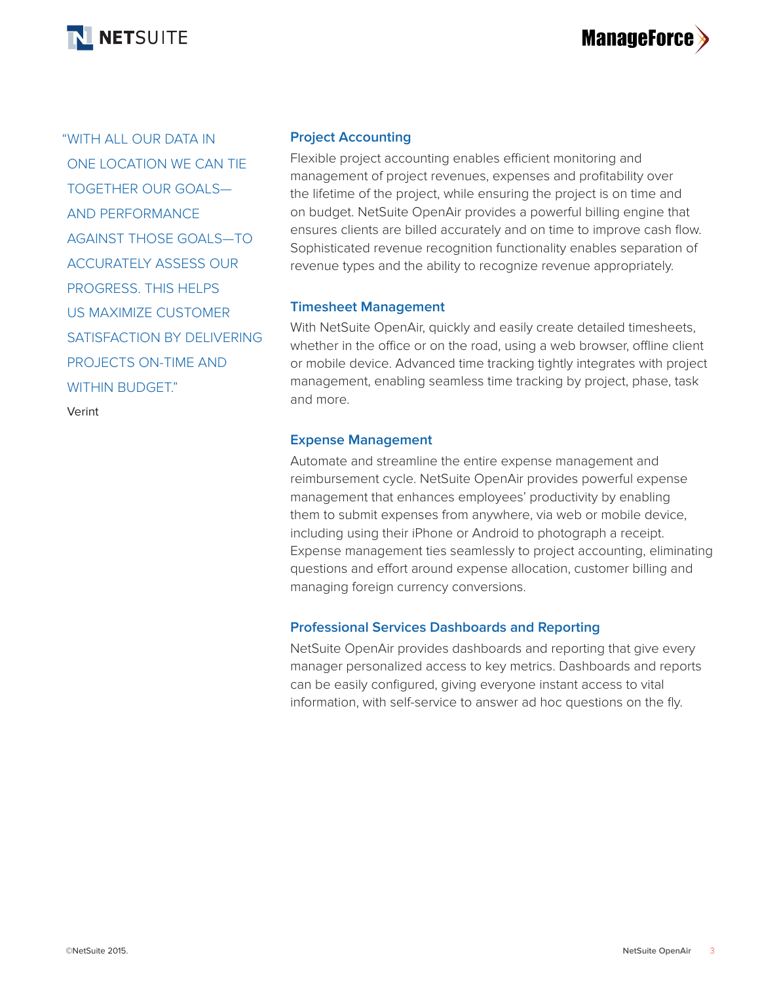

# **ManageForce**

"WITH ALL OUR DATA IN ONE LOCATION WE CAN TIE TOGETHER OUR GOALS— AND PERFORMANCE AGAINST THOSE GOALS—TO ACCURATELY ASSESS OUR PROGRESS. THIS HELPS US MAXIMIZE CUSTOMER SATISFACTION BY DELIVERING PROJECTS ON-TIME AND WITHIN BUDGET" Verint

**Project Accounting**

Flexible project accounting enables efficient monitoring and management of project revenues, expenses and profitability over the lifetime of the project, while ensuring the project is on time and on budget. NetSuite OpenAir provides a powerful billing engine that ensures clients are billed accurately and on time to improve cash flow. Sophisticated revenue recognition functionality enables separation of revenue types and the ability to recognize revenue appropriately.

## **Timesheet Management**

With NetSuite OpenAir, quickly and easily create detailed timesheets, whether in the office or on the road, using a web browser, offline client or mobile device. Advanced time tracking tightly integrates with project management, enabling seamless time tracking by project, phase, task and more.

## **Expense Management**

Automate and streamline the entire expense management and reimbursement cycle. NetSuite OpenAir provides powerful expense management that enhances employees' productivity by enabling them to submit expenses from anywhere, via web or mobile device, including using their iPhone or Android to photograph a receipt. Expense management ties seamlessly to project accounting, eliminating questions and effort around expense allocation, customer billing and managing foreign currency conversions.

# **Professional Services Dashboards and Reporting**

NetSuite OpenAir provides dashboards and reporting that give every manager personalized access to key metrics. Dashboards and reports can be easily configured, giving everyone instant access to vital information, with self-service to answer ad hoc questions on the fly.